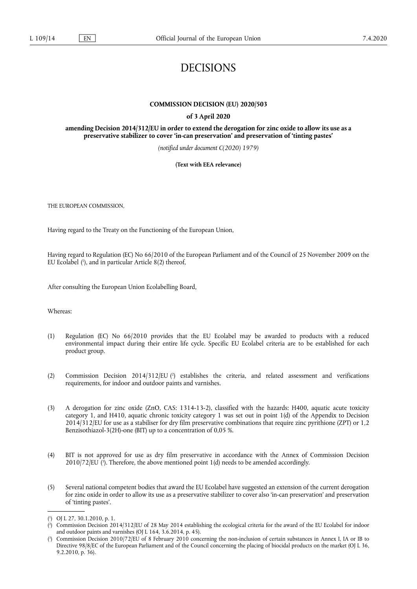# DECISIONS

#### **COMMISSION DECISION (EU) 2020/503**

#### **of 3 April 2020**

**amending Decision 2014/312/EU in order to extend the derogation for zinc oxide to allow its use as a preservative stabilizer to cover 'in-can preservation' and preservation of 'tinting pastes'** 

*(notified under document C(2020) 1979)* 

**(Text with EEA relevance)** 

THE EUROPEAN COMMISSION,

Having regard to the Treaty on the Functioning of the European Union,

<span id="page-0-3"></span>Having regard to Regulation (EC) No 66/2010 of the European Parliament and of the Council of 25 November 2009 on the EU Ecolabel ( 1 [\), and in particular Article 8\(2\) thereof,](#page-0-0) 

After consulting the European Union Ecolabelling Board,

Whereas:

- (1) Regulation (EC) No 66/2010 provides that the EU Ecolabel may be awarded to products with a reduced environmental impact during their entire life cycle. Specific EU Ecolabel criteria are to be established for each product group.
- <span id="page-0-4"></span>(2) Commission Decision 2014/312/EU ( 2 [\) establishes the criteria, and related assessment and verifications](#page-0-1) requirements, for indoor and outdoor paints and varnishes.
- (3) A derogation for zinc oxide (ZnO, CAS: 1314-13-2), classified with the hazards: H400, aquatic acute toxicity category 1, and H410, aquatic chronic toxicity category 1 was set out in point 1(d) of the Appendix to Decision 2014/312/EU for use as a stabiliser for dry film preservative combinations that require zinc pyrithione (ZPT) or 1,2 Benzisothiazol-3(2H)-one (BIT) up to a concentration of 0,05 %.
- <span id="page-0-5"></span>(4) BIT is not approved for use as dry film preservative in accordance with the Annex of Commission Decision 2010/72/EU ( 3 [\). Therefore, the above mentioned point 1\(d\) needs to be amended accordingly.](#page-0-2)
- (5) Several national competent bodies that award the EU Ecolabel have suggested an extension of the current derogation for zinc oxide in order to allow its use as a preservative stabilizer to cover also 'in-can preservation' and preservation of 'tinting pastes'.

<span id="page-0-0"></span>[<sup>\(</sup>](#page-0-3) 1 ) OJ L 27, 30.1.2010, p. 1.

<span id="page-0-1"></span>[<sup>\(</sup>](#page-0-4) 2 ) Commission Decision 2014/312/EU of 28 May 2014 establishing the ecological criteria for the award of the EU Ecolabel for indoor and outdoor paints and varnishes (OJ L 164, 3.6.2014, p. 45).

<span id="page-0-2"></span>[<sup>\(</sup>](#page-0-5) 3 ) Commission Decision 2010/72/EU of 8 February 2010 concerning the non-inclusion of certain substances in Annex I, IA or IB to Directive 98/8/EC of the European Parliament and of the Council concerning the placing of biocidal products on the market (OJ L 36, 9.2.2010, p. 36).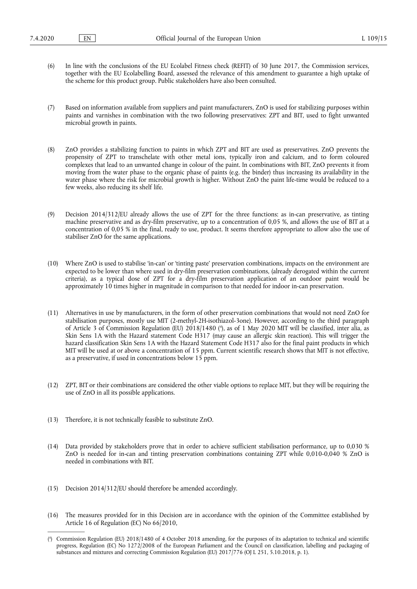- (6) In line with the conclusions of the EU Ecolabel Fitness check (REFIT) of 30 June 2017, the Commission services, together with the EU Ecolabelling Board, assessed the relevance of this amendment to guarantee a high uptake of the scheme for this product group. Public stakeholders have also been consulted.
- (7) Based on information available from suppliers and paint manufacturers, ZnO is used for stabilizing purposes within paints and varnishes in combination with the two following preservatives: ZPT and BIT, used to fight unwanted microbial growth in paints.
- (8) ZnO provides a stabilizing function to paints in which ZPT and BIT are used as preservatives. ZnO prevents the propensity of ZPT to transchelate with other metal ions, typically iron and calcium, and to form coloured complexes that lead to an unwanted change in colour of the paint. In combinations with BIT, ZnO prevents it from moving from the water phase to the organic phase of paints (e.g. the binder) thus increasing its availability in the water phase where the risk for microbial growth is higher. Without ZnO the paint life-time would be reduced to a few weeks, also reducing its shelf life.
- (9) Decision 2014/312/EU already allows the use of ZPT for the three functions: as in-can preservative, as tinting machine preservative and as dry-film preservative, up to a concentration of 0,05 %, and allows the use of BIT at a concentration of 0,05 % in the final, ready to use, product. It seems therefore appropriate to allow also the use of stabiliser ZnO for the same applications.
- (10) Where ZnO is used to stabilise 'in-can' or 'tinting paste' preservation combinations, impacts on the environment are expected to be lower than where used in dry-film preservation combinations, (already derogated within the current criteria), as a typical dose of ZPT for a dry-film preservation application of an outdoor paint would be approximately 10 times higher in magnitude in comparison to that needed for indoor in-can preservation.
- <span id="page-1-1"></span>(11) Alternatives in use by manufacturers, in the form of other preservation combinations that would not need ZnO for stabilisation purposes, mostly use MIT (2-methyl-2H-isothiazol-3one). However, according to the third paragraph of Article 3 of Commission Regulation (EU) 2018/1480 ( 4 [\), as of 1 May 2020 MIT will be classified, inter alia, as](#page-1-0) Skin Sens 1A with the Hazard statement Code H317 (may cause an allergic skin reaction). This will trigger the hazard classification Skin Sens 1A with the Hazard Statement Code H317 also for the final paint products in which MIT will be used at or above a concentration of 15 ppm. Current scientific research shows that MIT is not effective, as a preservative, if used in concentrations below 15 ppm.
- (12) ZPT, BIT or their combinations are considered the other viable options to replace MIT, but they will be requiring the use of ZnO in all its possible applications.
- (13) Therefore, it is not technically feasible to substitute ZnO.
- (14) Data provided by stakeholders prove that in order to achieve sufficient stabilisation performance, up to 0,030 % ZnO is needed for in-can and tinting preservation combinations containing ZPT while 0,010-0,040 % ZnO is needed in combinations with BIT.
- (15) Decision 2014/312/EU should therefore be amended accordingly.
- (16) The measures provided for in this Decision are in accordance with the opinion of the Committee established by Article 16 of Regulation (EC) No 66/2010,

<span id="page-1-0"></span>[<sup>\(</sup>](#page-1-1) 4 ) Commission Regulation (EU) 2018/1480 of 4 October 2018 amending, for the purposes of its adaptation to technical and scientific progress, Regulation (EC) No 1272/2008 of the European Parliament and the Council on classification, labelling and packaging of substances and mixtures and correcting Commission Regulation (EU) 2017/776 (OJ L 251, 5.10.2018, p. 1).